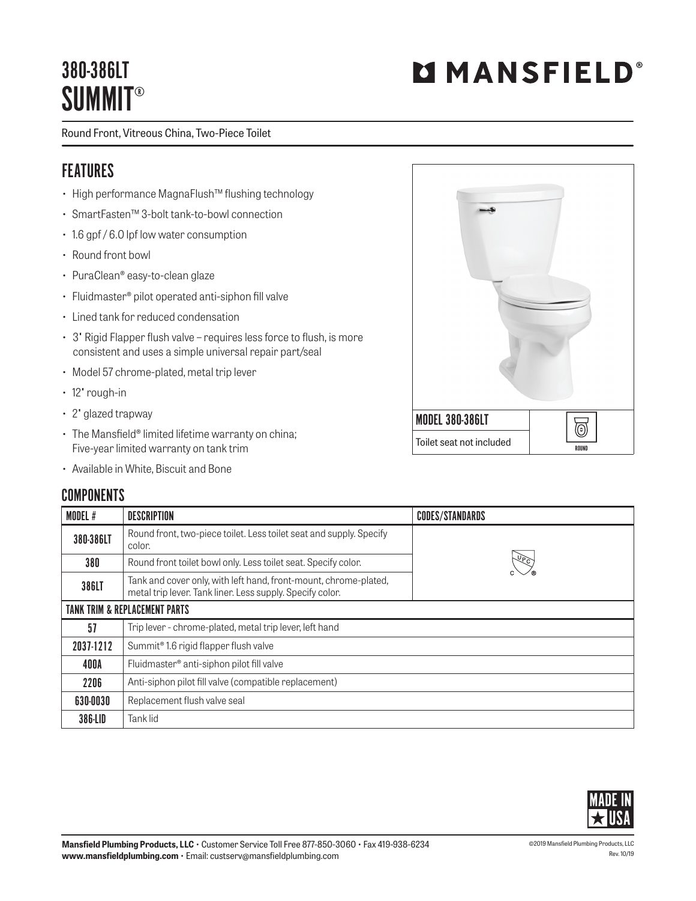## 380-386LT **SUMMIT®**

Round Front, Vitreous China, Two-Piece Toilet

#### FEATURES

- High performance MagnaFlush™ flushing technology
- SmartFasten™ 3-bolt tank-to-bowl connection
- 1.6 gpf / 6.0 lpf low water consumption
- Round front bowl
- PuraClean® easy-to-clean glaze
- Fluidmaster® pilot operated anti-siphon fill valve
- Lined tank for reduced condensation
- 3" Rigid Flapper flush valve requires less force to flush, is more consistent and uses a simple universal repair part/seal
- Model 57 chrome-plated, metal trip lever
- 12" rough-in
- 2" glazed trapway
- The Mansfield® limited lifetime warranty on china; Five-year limited warranty on tank trim
- Available in White, Biscuit and Bone

# MODEL 380-386LT 0 Toilet seat not included  $\overline{\phantom{a}}$

| COMPONENTS |  |
|------------|--|
|------------|--|

| <b>MODEL#</b>                            | <b>DESCRIPTION</b>                                                                                                            | <b>CODES/STANDARDS</b> |  |  |
|------------------------------------------|-------------------------------------------------------------------------------------------------------------------------------|------------------------|--|--|
| 380-386LT                                | Round front, two-piece toilet. Less toilet seat and supply. Specify<br>color.                                                 |                        |  |  |
| 380                                      | Round front toilet bowl only. Less toilet seat. Specify color.                                                                |                        |  |  |
| 386LT                                    | Tank and cover only, with left hand, front-mount, chrome-plated,<br>metal trip lever. Tank liner. Less supply. Specify color. |                        |  |  |
| <b>TANK TRIM &amp; REPLACEMENT PARTS</b> |                                                                                                                               |                        |  |  |
| 57                                       | Trip lever - chrome-plated, metal trip lever, left hand                                                                       |                        |  |  |
| 2037-1212                                | Summit <sup>®</sup> 1.6 rigid flapper flush valve                                                                             |                        |  |  |
| 400A                                     | Fluidmaster <sup>®</sup> anti-siphon pilot fill valve                                                                         |                        |  |  |
| 2206                                     | Anti-siphon pilot fill valve (compatible replacement)                                                                         |                        |  |  |
| 630-0030                                 | Replacement flush valve seal                                                                                                  |                        |  |  |
| 386-LID                                  | Tank lid                                                                                                                      |                        |  |  |